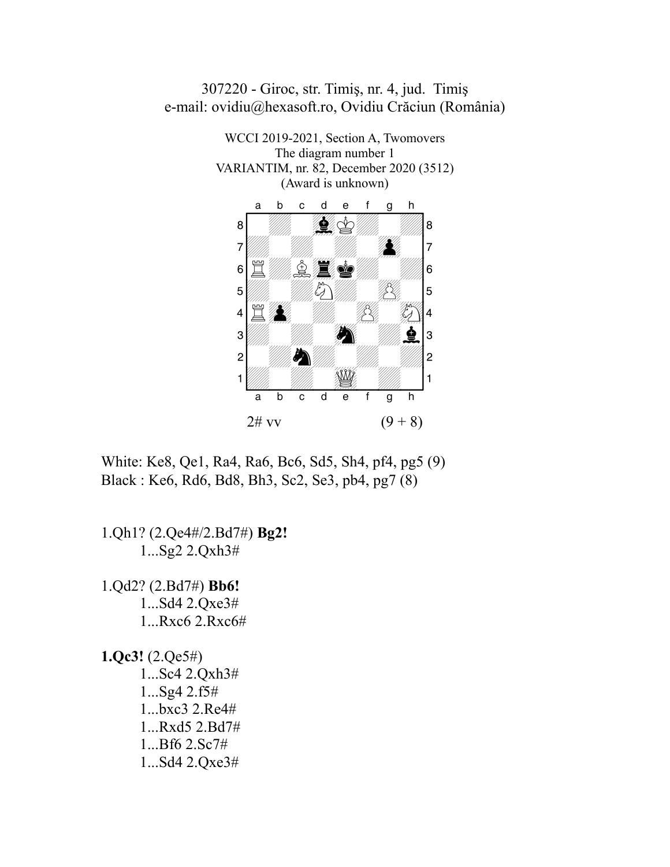

307220 - Giroc, str. Timiş, nr. 4, jud. Timiş

White: Ke8, Qe1, Ra4, Ra6, Bc6, Sd5, Sh4, pf4, pg5 (9) Black : Ke6, Rd6, Bd8, Bh3, Sc2, Se3, pb4, pg7 (8)

1.Qh1? (2.Qe4#/2.Bd7#) **Bg2!** 1...Sg2 2.Qxh3#

1.Qd2? (2.Bd7#) **Bb6!** 1...Sd4 2.Qxe3# 1...Rxc6 2.Rxc6#

**1.Qc3!** (2.Qe5#) 1...Sc4 2.Qxh3# 1...Sg4 2.f5# 1...bxc3 2.Re4# 1...Rxd5 2.Bd7# 1...Bf6 2.Sc7# 1...Sd4 2.Qxe3#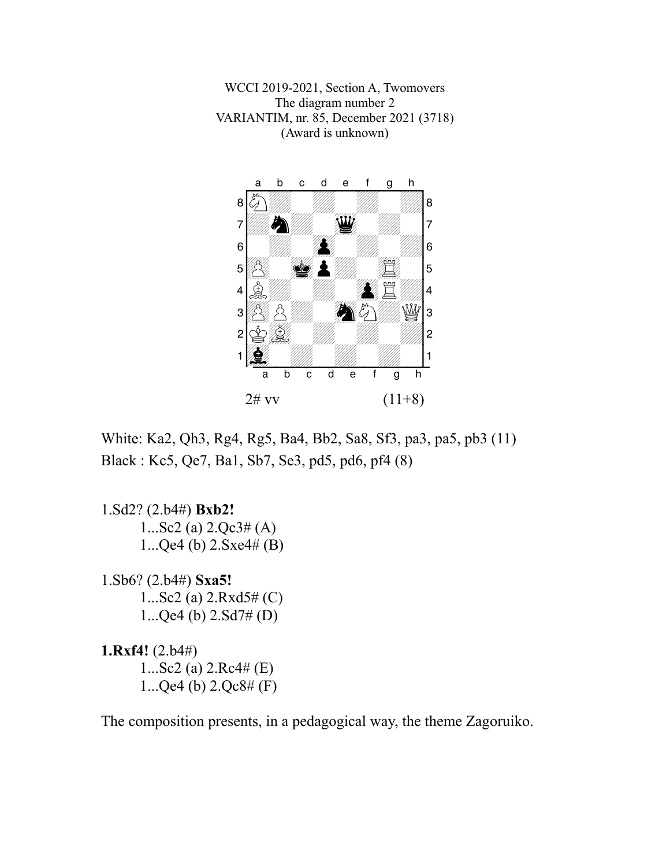WCCI 2019-2021, Section A, Twomovers The diagram number 2 VARIANTIM, nr. 85, December 2021 (3718) (Award is unknown)



White: Ka2, Qh3, Rg4, Rg5, Ba4, Bb2, Sa8, Sf3, pa3, pa5, pb3 (11) Black : Kc5, Qe7, Ba1, Sb7, Se3, pd5, pd6, pf4 (8)

1.Sd2? (2.b4#) **Bxb2!** 1...Sc2 (a)  $2.Qc3\#(A)$ 1...Qe4 (b) 2.Sxe4# (B)

1.Sb6? (2.b4#) **Sxa5!** 1...Sc2 (a) 2.Rxd5# (C) 1...Qe4 (b) 2.Sd7# (D)

**1.Rxf4!** (2.b4#) 1...Sc2 (a) 2.Rc4# (E) 1...Qe4 (b) 2.Qc8# (F)

The composition presents, in a pedagogical way, the theme Zagoruiko.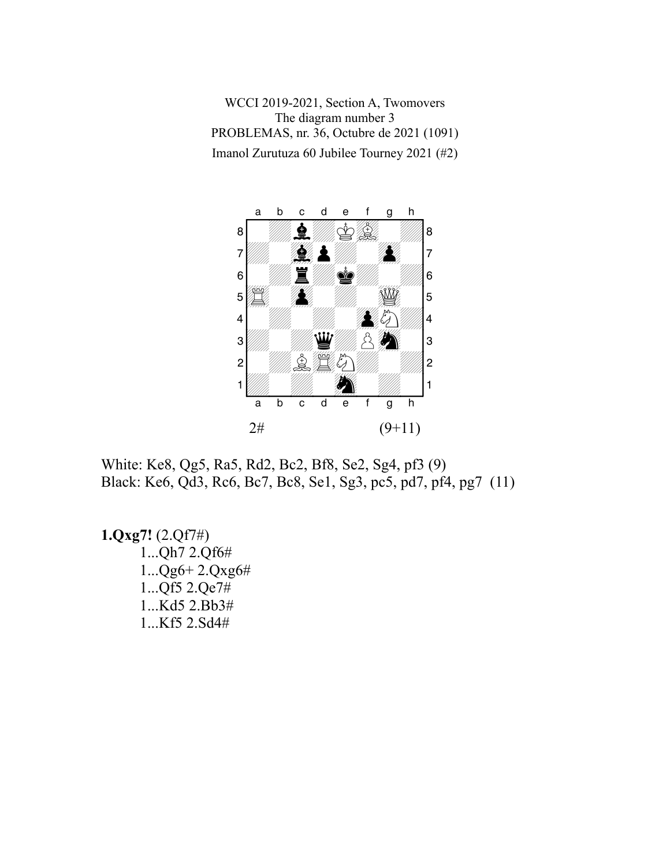WCCI 2019-2021, Section A, Twomovers The diagram number 3 PROBLEMAS, nr. 36, Octubre de 2021 (1091) Imanol Zurutuza 60 Jubilee Tourney 2021 (#2)



White: Ke8, Qg5, Ra5, Rd2, Bc2, Bf8, Se2, Sg4, pf3 (9) Black: Ke6, Qd3, Rc6, Bc7, Bc8, Se1, Sg3, pc5, pd7, pf4, pg7 (11)

**1.Qxg7!** (2.Qf7#) 1...Qh7 2.Qf6# 1...Qg6+ 2.Qxg6# 1...Qf5 2.Qe7# 1...Kd5 2.Bb3# 1...Kf5 2.Sd4#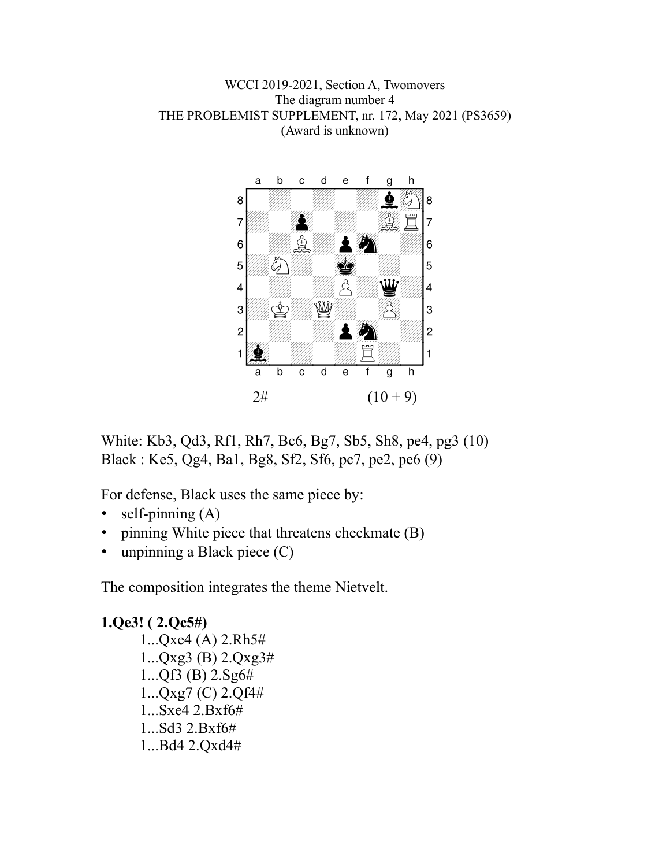

White: Kb3, Qd3, Rf1, Rh7, Bc6, Bg7, Sb5, Sh8, pe4, pg3 (10) Black : Ke5, Qg4, Ba1, Bg8, Sf2, Sf6, pc7, pe2, pe6 (9)

For defense, Black uses the same piece by:

- self-pinning  $(A)$
- pinning White piece that threatens checkmate (B)
- unpinning a Black piece (C)

The composition integrates the theme Nietvelt.

**1.Qe3! ( 2.Qc5#)** 1...Qxe4 (A) 2.Rh5# 1...Qxg3 (B) 2.Qxg3# 1...Qf3 (B) 2.Sg6# 1...Qxg7 (C) 2.Qf4# 1...Sxe4 2.Bxf6# 1...Sd3 2.Bxf6# 1...Bd4 2.Qxd4#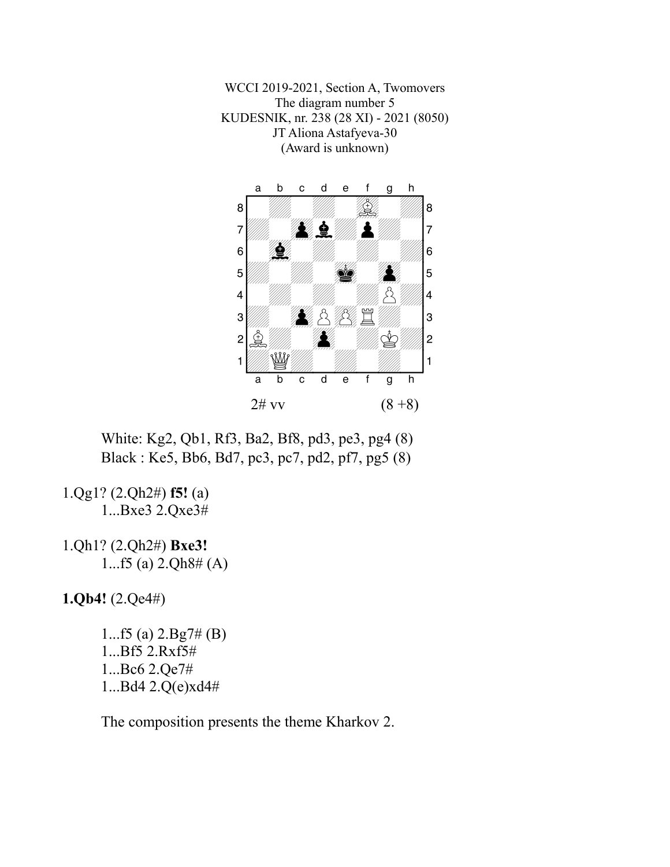WCCI 2019-2021, Section A, Twomovers The diagram number 5 KUDESNIK, nr. 238 (28 XI) - 2021 (8050) JT Aliona Astafyeva-30 (Award is unknown)



White: Kg2, Qb1, Rf3, Ba2, Bf8, pd3, pe3, pg4 (8) Black : Ke5, Bb6, Bd7, pc3, pc7, pd2, pf7, pg5 (8)

1.Qg1? (2.Qh2#) **f5!** (a) 1...Bxe3 2.Qxe3#

1.Qh1? (2.Qh2#) **Bxe3!** 1...f5 (a) 2.Qh8# (A)

**1.Qb4!** (2.Qe4#)

1...f5 (a) 2.Bg7# (B) 1...Bf5 2.Rxf5# 1...Bc6 2.Qe7# 1...Bd4 2.Q(e)xd4#

The composition presents the theme Kharkov 2.